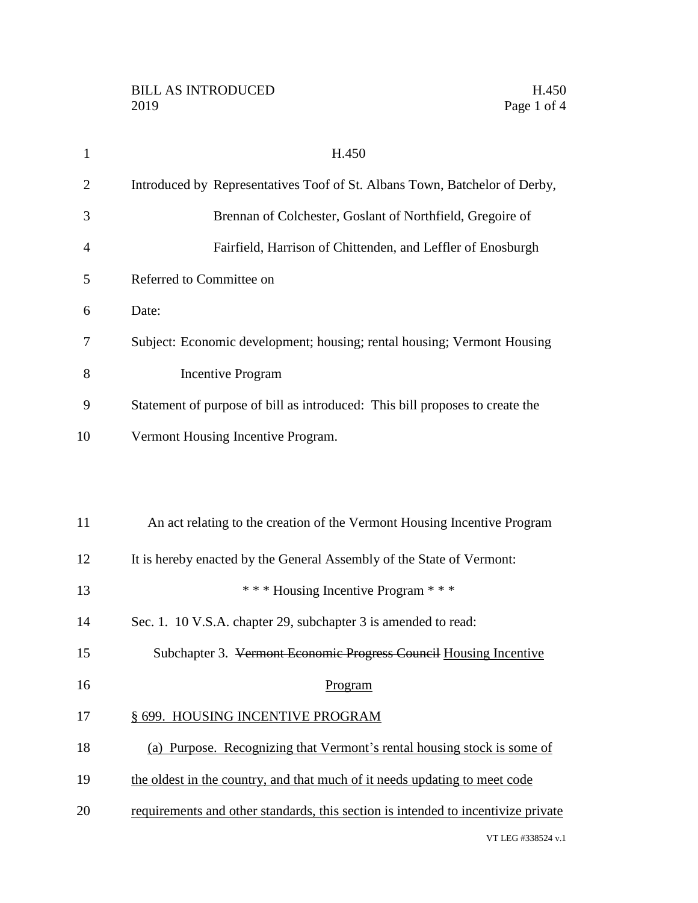VT LEG #338524 v.1

| $\mathbf{1}$ | H.450                                                                             |
|--------------|-----------------------------------------------------------------------------------|
| 2            | Introduced by Representatives Toof of St. Albans Town, Batchelor of Derby,        |
| 3            | Brennan of Colchester, Goslant of Northfield, Gregoire of                         |
| 4            | Fairfield, Harrison of Chittenden, and Leffler of Enosburgh                       |
| 5            | Referred to Committee on                                                          |
| 6            | Date:                                                                             |
| 7            | Subject: Economic development; housing; rental housing; Vermont Housing           |
| 8            | <b>Incentive Program</b>                                                          |
| 9            | Statement of purpose of bill as introduced: This bill proposes to create the      |
| 10           | Vermont Housing Incentive Program.                                                |
|              |                                                                                   |
|              |                                                                                   |
| 11           | An act relating to the creation of the Vermont Housing Incentive Program          |
| 12           | It is hereby enacted by the General Assembly of the State of Vermont:             |
| 13           | *** Housing Incentive Program ***                                                 |
| 14           | Sec. 1. 10 V.S.A. chapter 29, subchapter 3 is amended to read:                    |
| 15           | Subchapter 3. Vermont Economic Progress Council Housing Incentive                 |
| 16           | Program                                                                           |
| 17           | § 699. HOUSING INCENTIVE PROGRAM                                                  |
| 18           | (a) Purpose. Recognizing that Vermont's rental housing stock is some of           |
| 19           | the oldest in the country, and that much of it needs updating to meet code        |
| 20           | requirements and other standards, this section is intended to incentivize private |
|              |                                                                                   |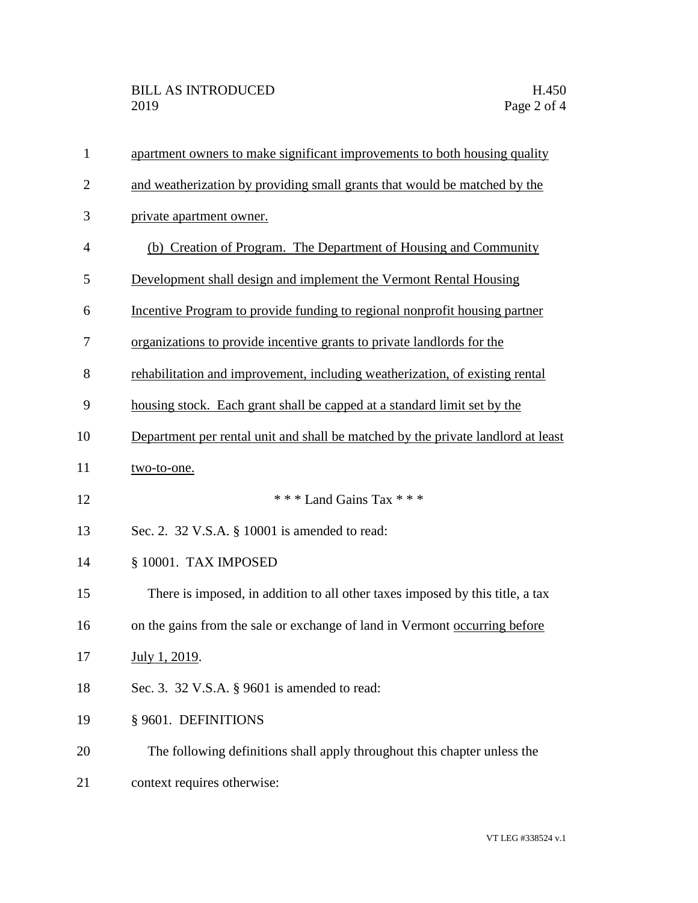| $\mathbf{1}$   | apartment owners to make significant improvements to both housing quality        |
|----------------|----------------------------------------------------------------------------------|
| $\overline{2}$ | and weatherization by providing small grants that would be matched by the        |
| 3              | private apartment owner.                                                         |
| 4              | (b) Creation of Program. The Department of Housing and Community                 |
| 5              | Development shall design and implement the Vermont Rental Housing                |
| 6              | Incentive Program to provide funding to regional nonprofit housing partner       |
| 7              | organizations to provide incentive grants to private landlords for the           |
| 8              | rehabilitation and improvement, including weatherization, of existing rental     |
| 9              | housing stock. Each grant shall be capped at a standard limit set by the         |
| 10             | Department per rental unit and shall be matched by the private landlord at least |
| 11             | two-to-one.                                                                      |
| 12             | *** Land Gains Tax ***                                                           |
| 13             | Sec. 2. 32 V.S.A. § 10001 is amended to read:                                    |
| 14             | § 10001. TAX IMPOSED                                                             |
| 15             | There is imposed, in addition to all other taxes imposed by this title, a tax    |
| 16             | on the gains from the sale or exchange of land in Vermont occurring before       |
| 17             | July 1, 2019.                                                                    |
| 18             | Sec. 3. 32 V.S.A. § 9601 is amended to read:                                     |
| 19             | § 9601. DEFINITIONS                                                              |
| 20             | The following definitions shall apply throughout this chapter unless the         |
| 21             | context requires otherwise:                                                      |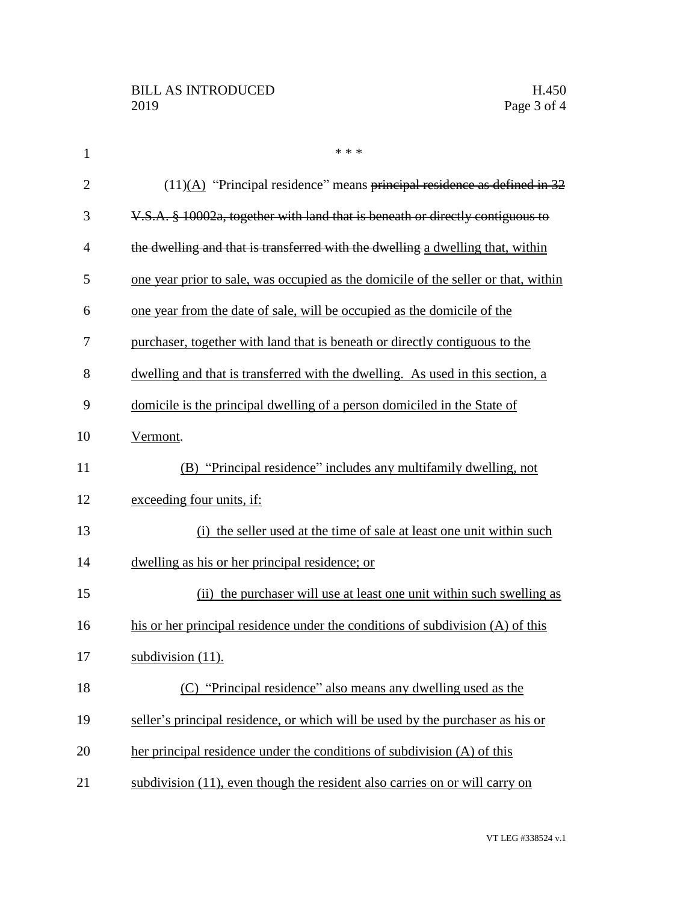| $\mathbf{1}$   | * * *                                                                              |
|----------------|------------------------------------------------------------------------------------|
| $\overline{2}$ | $(11)$ (A) "Principal residence" means principal residence as defined in 32        |
| 3              | V.S.A. § 10002a, together with land that is beneath or directly contiguous to      |
| $\overline{4}$ | the dwelling and that is transferred with the dwelling a dwelling that, within     |
| 5              | one year prior to sale, was occupied as the domicile of the seller or that, within |
| 6              | one year from the date of sale, will be occupied as the domicile of the            |
| 7              | purchaser, together with land that is beneath or directly contiguous to the        |
| 8              | dwelling and that is transferred with the dwelling. As used in this section, a     |
| 9              | domicile is the principal dwelling of a person domiciled in the State of           |
| 10             | Vermont.                                                                           |
| 11             | (B) "Principal residence" includes any multifamily dwelling, not                   |
| 12             | exceeding four units, if:                                                          |
| 13             | (i) the seller used at the time of sale at least one unit within such              |
| 14             | dwelling as his or her principal residence; or                                     |
| 15             | (ii) the purchaser will use at least one unit within such swelling as              |
| 16             | his or her principal residence under the conditions of subdivision (A) of this     |
| 17             | subdivision $(11)$ .                                                               |
| 18             | "Principal residence" also means any dwelling used as the                          |
| 19             | seller's principal residence, or which will be used by the purchaser as his or     |
| 20             | her principal residence under the conditions of subdivision (A) of this            |
| 21             | subdivision (11), even though the resident also carries on or will carry on        |